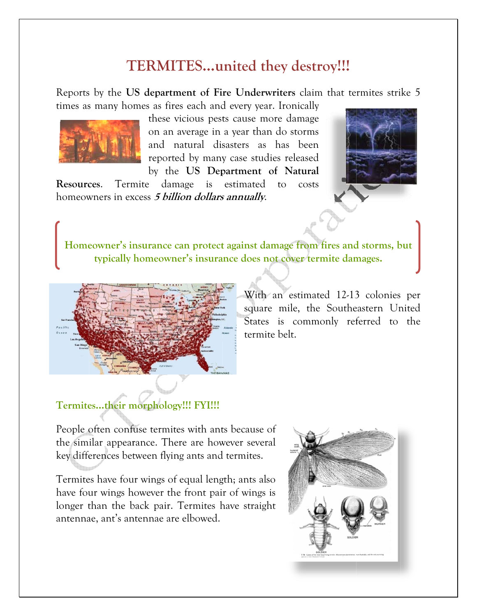## TERMITES...united they destroy!!!

Reports by the US department of Fire Underwriters claim that termites strike 5 times as many homes as fires each and every year. Ironically



these vicious pests cause more damage on an average in a year than do storms and natural disasters as has been reported by many case studies released by the US Department of Natural

Resources. Termite damage is estimated to costs homeowners in excess 5 billion dollars annually.



Homeowner's insurance can protect against damage from fires and storms, but typically homeowner's insurance does not cover termite damages.



With an estimated 12-13 colonies per square mile, the Southeastern United States is commonly referred to the termite belt.

### Termites...their morphology!!! FYI!!!

People often confuse termites with ants because of the similar appearance. There are however several key differences between flying ants and termites.

Termites have four wings of equal length; ants also have four wings however the front pair of wings is longer than the back pair. Termites have straight antennae, ant's antennae are elbowed.

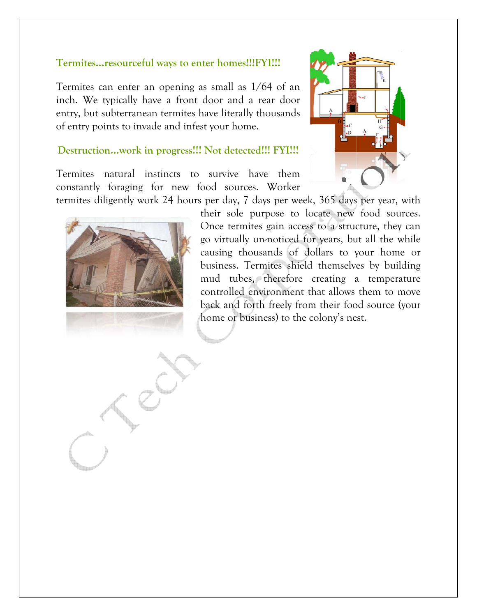#### Termites...resourceful ways to enter homes!!!FYI!!!

Termites can enter an opening as small as  $1/64$  of an inch. We typically have a front door and a rear door entry, but subterranean termites have literally thousands of entry points to invade and infest your home.

#### Destruction...work in progress!!! Not detected!!! FYI!!!

Termites natural instincts to survive have them constantly foraging for new food sources. Worker termites diligently work 24 hours per day, 7 days per week, 365 days per year, with





their sole purpose to locate new food sources. Once termites gain access to a structure, they can go virtually un-noticed for years, but all the while causing thousands of dollars to your home or business. Termites shield themselves by building mud tubes, therefore creating a temperature controlled environment that allows them to move back and forth freely from their food source (your home or business) to the colony's nest.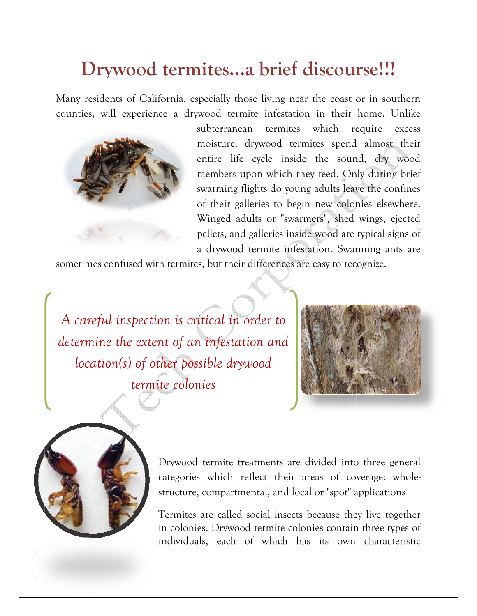# Drywood termites...a brief discourse!!!

Many residents of California, especially those living near the coast or in southern counties, will experience a drywood termite infestation in their home. Unlike



subterranean termites which require excess moisture, drywood termites spend almost their entire life cycle inside the sound, dry wood members upon which they feed. Only during brief swarming flights do young adults leave the confines of their galleries to begin new colonies elsewhere. Winged adults or "swarmers", shed wings, ejected pellets, and galleries inside wood are typical signs of a drywood termite infestation. Swarming ants are

sometimes confused with termites, but their differences are easy to recognize.

A careful inspection is critical in order to determine the extent of an infestation and location(s) of other possible drywood termite colonies





Drywood termite treatments are divided into three general categories which reflect their areas of coverage: wholestructure, compartmental, and local or "spot" applications

Termites are called social insects because they live together in colonies. Drywood termite colonies contain three types of individuals, each of which has its own characteristic